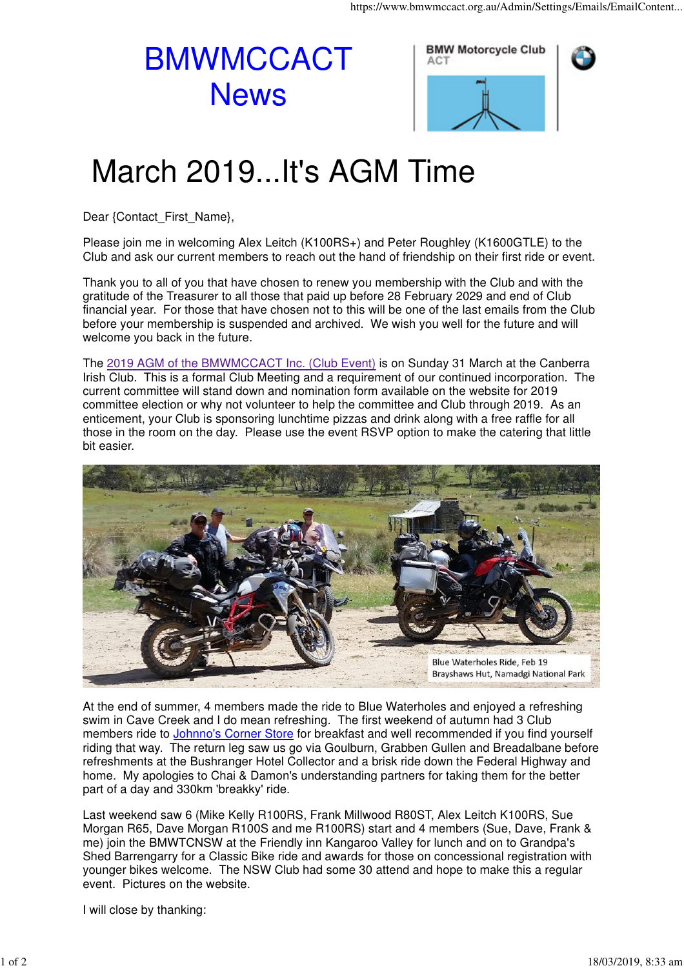## BMWMCCACT **News**



## March 2019...It's AGM Time

Dear {Contact\_First\_Name},

Please join me in welcoming Alex Leitch (K100RS+) and Peter Roughley (K1600GTLE) to the Club and ask our current members to reach out the hand of friendship on their first ride or event.

Thank you to all of you that have chosen to renew you membership with the Club and with the gratitude of the Treasurer to all those that paid up before 28 February 2029 and end of Club financial year. For those that have chosen not to this will be one of the last emails from the Club before your membership is suspended and archived. We wish you well for the future and will welcome you back in the future.

The 2019 AGM of the BMWMCCACT Inc. (Club Event) is on Sunday 31 March at the Canberra Irish Club. This is a formal Club Meeting and a requirement of our continued incorporation. The current committee will stand down and nomination form available on the website for 2019 committee election or why not volunteer to help the committee and Club through 2019. As an enticement, your Club is sponsoring lunchtime pizzas and drink along with a free raffle for all those in the room on the day. Please use the event RSVP option to make the catering that little bit easier.



At the end of summer, 4 members made the ride to Blue Waterholes and enjoyed a refreshing swim in Cave Creek and I do mean refreshing. The first weekend of autumn had 3 Club members ride to Johnno's Corner Store for breakfast and well recommended if you find yourself riding that way. The return leg saw us go via Goulburn, Grabben Gullen and Breadalbane before refreshments at the Bushranger Hotel Collector and a brisk ride down the Federal Highway and home. My apologies to Chai & Damon's understanding partners for taking them for the better part of a day and 330km 'breakky' ride.

Last weekend saw 6 (Mike Kelly R100RS, Frank Millwood R80ST, Alex Leitch K100RS, Sue Morgan R65, Dave Morgan R100S and me R100RS) start and 4 members (Sue, Dave, Frank & me) join the BMWTCNSW at the Friendly inn Kangaroo Valley for lunch and on to Grandpa's Shed Barrengarry for a Classic Bike ride and awards for those on concessional registration with younger bikes welcome. The NSW Club had some 30 attend and hope to make this a regular event. Pictures on the website.

I will close by thanking: